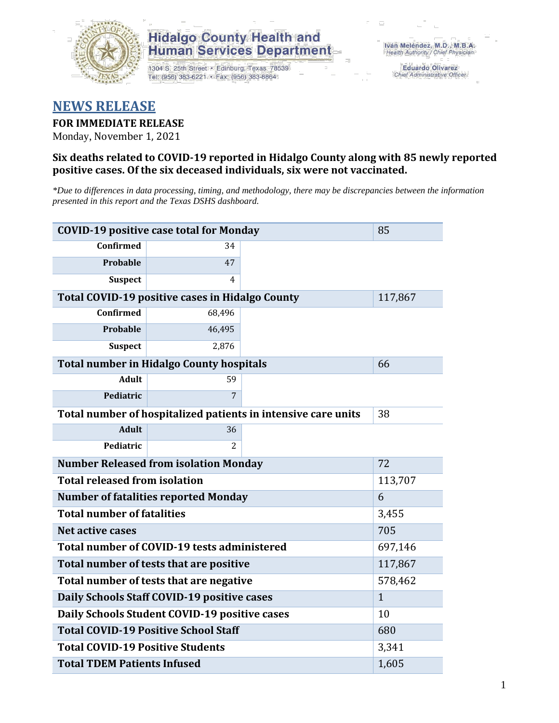

## **Hidalgo County Health and Human Services Department**

1304 S. 25th Street · Edinburg, Texas 78539 Tel: (956) 383-6221 · Fax: (956) 383-8864

**Eduardo Olivarez** Chief Administrative Officer

# **NEWS RELEASE**

## **FOR IMMEDIATE RELEASE**

Monday, November 1, 2021

## **Six deaths related to COVID-19 reported in Hidalgo County along with 85 newly reported positive cases. Of the six deceased individuals, six were not vaccinated.**

*\*Due to differences in data processing, timing, and methodology, there may be discrepancies between the information presented in this report and the Texas DSHS dashboard.*

| <b>COVID-19 positive case total for Monday</b>                | 85                                              |  |         |  |  |  |
|---------------------------------------------------------------|-------------------------------------------------|--|---------|--|--|--|
| <b>Confirmed</b>                                              | 34                                              |  |         |  |  |  |
| <b>Probable</b>                                               | 47                                              |  |         |  |  |  |
| <b>Suspect</b>                                                | 4                                               |  |         |  |  |  |
|                                                               | Total COVID-19 positive cases in Hidalgo County |  | 117,867 |  |  |  |
| Confirmed                                                     | 68,496                                          |  |         |  |  |  |
| <b>Probable</b>                                               | 46,495                                          |  |         |  |  |  |
| <b>Suspect</b>                                                | 2,876                                           |  |         |  |  |  |
| <b>Total number in Hidalgo County hospitals</b>               | 66                                              |  |         |  |  |  |
| <b>Adult</b>                                                  | 59                                              |  |         |  |  |  |
| Pediatric                                                     | 7                                               |  |         |  |  |  |
| Total number of hospitalized patients in intensive care units | 38                                              |  |         |  |  |  |
| <b>Adult</b>                                                  | 36                                              |  |         |  |  |  |
| Pediatric                                                     | 2                                               |  |         |  |  |  |
| <b>Number Released from isolation Monday</b><br>72            |                                                 |  |         |  |  |  |
| <b>Total released from isolation</b><br>113,707               |                                                 |  |         |  |  |  |
| <b>Number of fatalities reported Monday</b>                   | 6                                               |  |         |  |  |  |
| <b>Total number of fatalities</b>                             | 3,455                                           |  |         |  |  |  |
| Net active cases                                              | 705                                             |  |         |  |  |  |
| Total number of COVID-19 tests administered                   | 697,146                                         |  |         |  |  |  |
| Total number of tests that are positive                       | 117,867                                         |  |         |  |  |  |
| Total number of tests that are negative                       | 578,462                                         |  |         |  |  |  |
| Daily Schools Staff COVID-19 positive cases                   | $\mathbf{1}$                                    |  |         |  |  |  |
| Daily Schools Student COVID-19 positive cases                 | 10                                              |  |         |  |  |  |
| <b>Total COVID-19 Positive School Staff</b>                   | 680                                             |  |         |  |  |  |
| <b>Total COVID-19 Positive Students</b>                       | 3,341                                           |  |         |  |  |  |
| <b>Total TDEM Patients Infused</b>                            | 1,605                                           |  |         |  |  |  |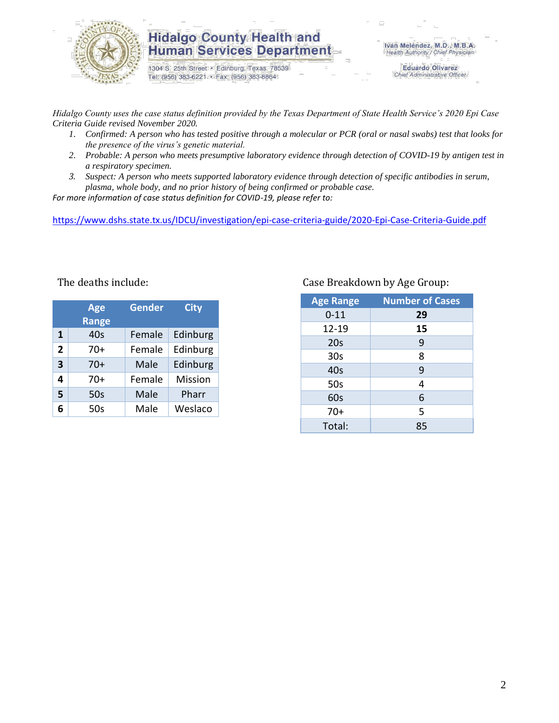

## **Hidalgo County Health and Human Services Department**

1304 S. 25th Street · Edinburg, Texas 78539 Tel: (956) 383-6221 · Fax: (956) 383-8864

**Eduardo Olivarez** Chief Administrative Officer

*Hidalgo County uses the case status definition provided by the Texas Department of State Health Service's 2020 Epi Case Criteria Guide revised November 2020.*

- *1. Confirmed: A person who has tested positive through a molecular or PCR (oral or nasal swabs) test that looks for the presence of the virus's genetic material.*
- *2. Probable: A person who meets presumptive laboratory evidence through detection of COVID-19 by antigen test in a respiratory specimen.*
- *3. Suspect: A person who meets supported laboratory evidence through detection of specific antibodies in serum, plasma, whole body, and no prior history of being confirmed or probable case.*

*For more information of case status definition for COVID-19, please refer to:*

<https://www.dshs.state.tx.us/IDCU/investigation/epi-case-criteria-guide/2020-Epi-Case-Criteria-Guide.pdf>

|                | <b>Age</b>   | <b>Gender</b> | <b>City</b> |
|----------------|--------------|---------------|-------------|
|                | <b>Range</b> |               |             |
| 1              | 40s          | Female        | Edinburg    |
| $\overline{2}$ | $70+$        | Female        | Edinburg    |
| 3              | $70+$        | Male          | Edinburg    |
| 4              | $70+$        | Female        | Mission     |
| 5              | 50s          | Male          | Pharr       |
| 6              | 50s          | Male          | Weslaco     |

### The deaths include: The deaths include: Case Breakdown by Age Group:

| <b>Age Range</b> | <b>Number of Cases</b> |
|------------------|------------------------|
| $0 - 11$         | 29                     |
| 12-19            | 15                     |
| 20s              | 9                      |
| 30 <sub>s</sub>  | 8                      |
| 40s              | 9                      |
| 50s              | 4                      |
| 60s              | 6                      |
| $70+$            | 5                      |
| Total:           | 85                     |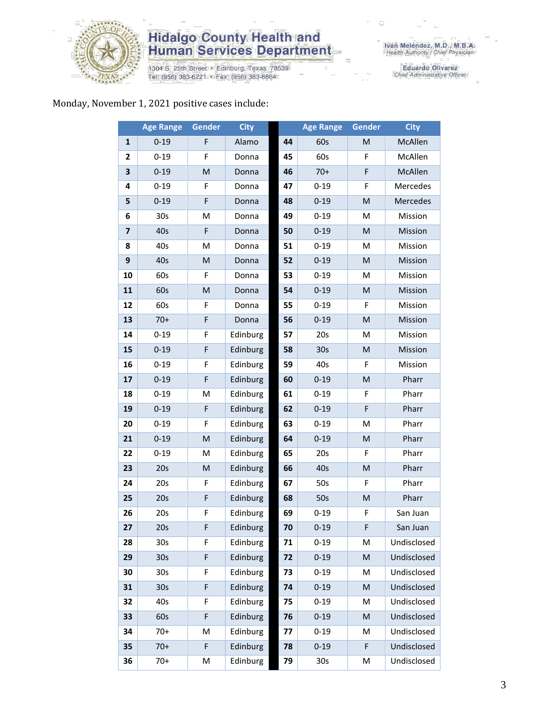

# **Hidalgo County Health and<br>Human Services Department**

1304 S. 25th Street • Edinburg, Texas 78539<br>Tel: (956) 383-6221 • Fax: (956) 383-8864

Eduardo Olivarez<br>Chief Administrative Officer

### Monday, November 1, 2021 positive cases include:

|                         | <b>Age Range</b> | Gender      | <b>City</b> |    | <b>Age Range</b> | <b>Gender</b> | <b>City</b> |
|-------------------------|------------------|-------------|-------------|----|------------------|---------------|-------------|
| $\mathbf{1}$            | $0 - 19$         | F           | Alamo       | 44 | 60s              | M             | McAllen     |
| $\mathbf{2}$            | $0 - 19$         | F           | Donna       | 45 | 60s              | F             | McAllen     |
| 3                       | $0 - 19$         | M           | Donna       | 46 | $70+$            | F             | McAllen     |
| 4                       | $0 - 19$         | F           | Donna       | 47 | $0 - 19$         | F             | Mercedes    |
| 5                       | $0 - 19$         | $\mathsf F$ | Donna       | 48 | $0 - 19$         | M             | Mercedes    |
| 6                       | 30 <sub>s</sub>  | M           | Donna       | 49 | $0 - 19$         | M             | Mission     |
| $\overline{\mathbf{z}}$ | 40s              | F           | Donna       | 50 | $0 - 19$         | M             | Mission     |
| 8                       | 40s              | M           | Donna       | 51 | $0 - 19$         | M             | Mission     |
| 9                       | 40s              | M           | Donna       | 52 | $0 - 19$         | M             | Mission     |
| 10                      | 60s              | F           | Donna       | 53 | $0 - 19$         | M             | Mission     |
| 11                      | 60s              | M           | Donna       | 54 | $0 - 19$         | M             | Mission     |
| 12                      | 60s              | F           | Donna       | 55 | $0 - 19$         | F             | Mission     |
| 13                      | $70+$            | F           | Donna       | 56 | $0 - 19$         | M             | Mission     |
| 14                      | $0 - 19$         | F           | Edinburg    | 57 | 20s              | M             | Mission     |
| 15                      | $0 - 19$         | F           | Edinburg    | 58 | 30 <sub>s</sub>  | M             | Mission     |
| 16                      | $0 - 19$         | $\mathsf F$ | Edinburg    | 59 | 40s              | F             | Mission     |
| 17                      | $0 - 19$         | F           | Edinburg    | 60 | $0 - 19$         | ${\sf M}$     | Pharr       |
| 18                      | $0 - 19$         | M           | Edinburg    | 61 | $0 - 19$         | F             | Pharr       |
| 19                      | $0 - 19$         | F           | Edinburg    | 62 | $0 - 19$         | F             | Pharr       |
| 20                      | $0 - 19$         | F           | Edinburg    | 63 | $0 - 19$         | M             | Pharr       |
| 21                      | $0 - 19$         | M           | Edinburg    | 64 | $0 - 19$         | M             | Pharr       |
| 22                      | $0 - 19$         | M           | Edinburg    | 65 | 20s              | F             | Pharr       |
| 23                      | 20s              | M           | Edinburg    | 66 | 40s              | M             | Pharr       |
| 24                      | 20s              | F           | Edinburg    | 67 | 50s              | F             | Pharr       |
| 25                      | 20s              | $\mathsf F$ | Edinburg    | 68 | 50s              | ${\sf M}$     | Pharr       |
| 26                      | 20s              | $\mathsf F$ | Edinburg    | 69 | $0 - 19$         | F             | San Juan    |
| 27                      | 20s              | F           | Edinburg    | 70 | $0 - 19$         | F             | San Juan    |
| 28                      | 30s              | F           | Edinburg    | 71 | $0 - 19$         | M             | Undisclosed |
| 29                      | 30 <sub>s</sub>  | F           | Edinburg    | 72 | $0 - 19$         | ${\sf M}$     | Undisclosed |
| 30                      | 30 <sub>s</sub>  | F           | Edinburg    | 73 | $0 - 19$         | M             | Undisclosed |
| 31                      | 30 <sub>s</sub>  | F           | Edinburg    | 74 | $0 - 19$         | M             | Undisclosed |
| 32                      | 40s              | F           | Edinburg    | 75 | $0 - 19$         | M             | Undisclosed |
| 33                      | 60s              | F           | Edinburg    | 76 | $0 - 19$         | M             | Undisclosed |
| 34                      | $70+$            | M           | Edinburg    | 77 | $0 - 19$         | M             | Undisclosed |
| 35                      | $70+$            | F           | Edinburg    | 78 | $0 - 19$         | F             | Undisclosed |
| 36                      | $70+$            | M           | Edinburg    | 79 | 30s              | M             | Undisclosed |